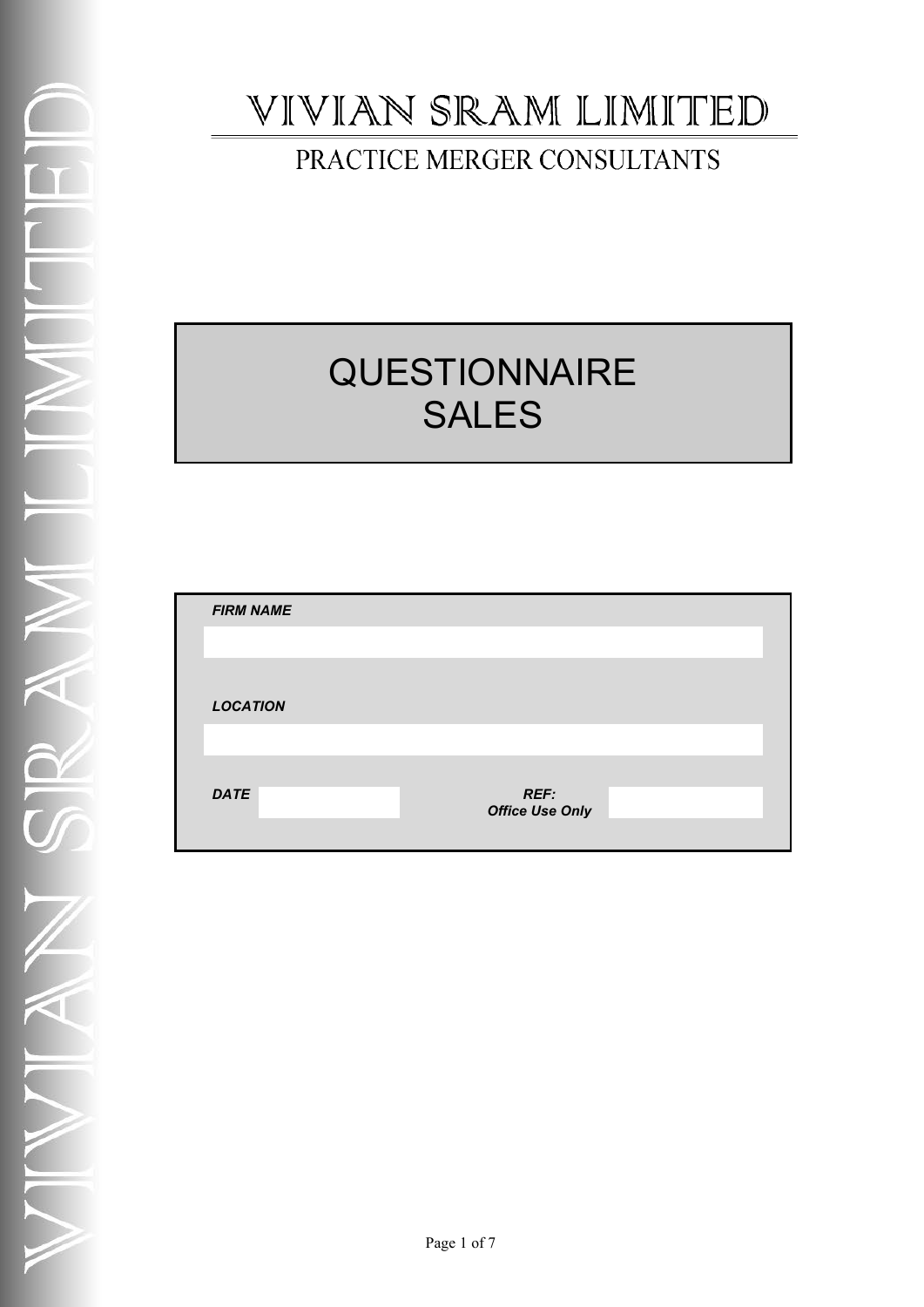# VIVIAN SRAM LIMITED

## PRACTICE MERGER CONSULTANTS

# **QUESTIONNAIRE** SALES

| <b>FIRM NAME</b> |                        |  |
|------------------|------------------------|--|
|                  |                        |  |
|                  |                        |  |
| <b>LOCATION</b>  |                        |  |
|                  |                        |  |
| <b>DATE</b>      | <b>REF:</b>            |  |
|                  | <b>Office Use Only</b> |  |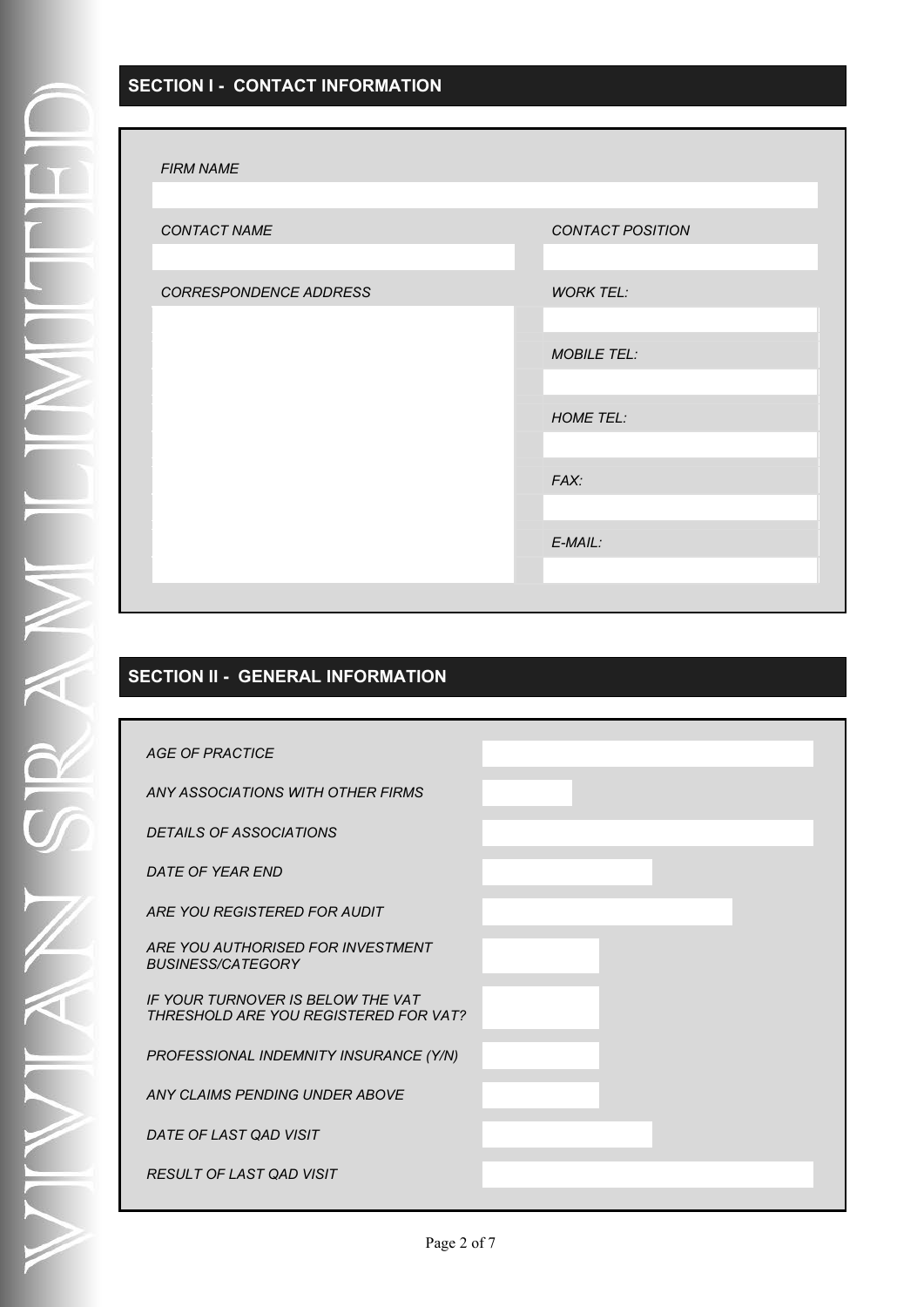## **SECTION I - CONTACT INFORMATION**

#### *FIRM NAME*

| FINNI IVANIE           |                         |
|------------------------|-------------------------|
|                        |                         |
| CONTACT NAME           | <b>CONTACT POSITION</b> |
|                        |                         |
| CORRESPONDENCE ADDRESS | <b>WORK TEL:</b>        |
|                        |                         |
|                        | <b>MOBILE TEL:</b>      |
|                        |                         |
|                        | <b>HOME TEL:</b>        |
|                        |                         |
|                        | FAX:                    |
|                        |                         |
|                        | $E$ -MAIL:              |
|                        |                         |
|                        |                         |

## **SECTION II - GENERAL INFORMATION**

| <b>AGE OF PRACTICE</b>                                                     |  |
|----------------------------------------------------------------------------|--|
| ANY ASSOCIATIONS WITH OTHER FIRMS                                          |  |
| <b>DETAILS OF ASSOCIATIONS</b>                                             |  |
| DATE OF YEAR END                                                           |  |
| ARE YOU REGISTERED FOR AUDIT                                               |  |
| ARE YOU AUTHORISED FOR INVESTMENT<br><b>BUSINESS/CATEGORY</b>              |  |
| IF YOUR TURNOVER IS BELOW THE VAT<br>THRESHOLD ARE YOU REGISTERED FOR VAT? |  |
| PROFESSIONAL INDEMNITY INSURANCE (Y/N)                                     |  |
| ANY CLAIMS PENDING UNDER ABOVE                                             |  |
| DATE OF LAST QAD VISIT                                                     |  |
| <b>RESULT OF LAST QAD VISIT</b>                                            |  |
|                                                                            |  |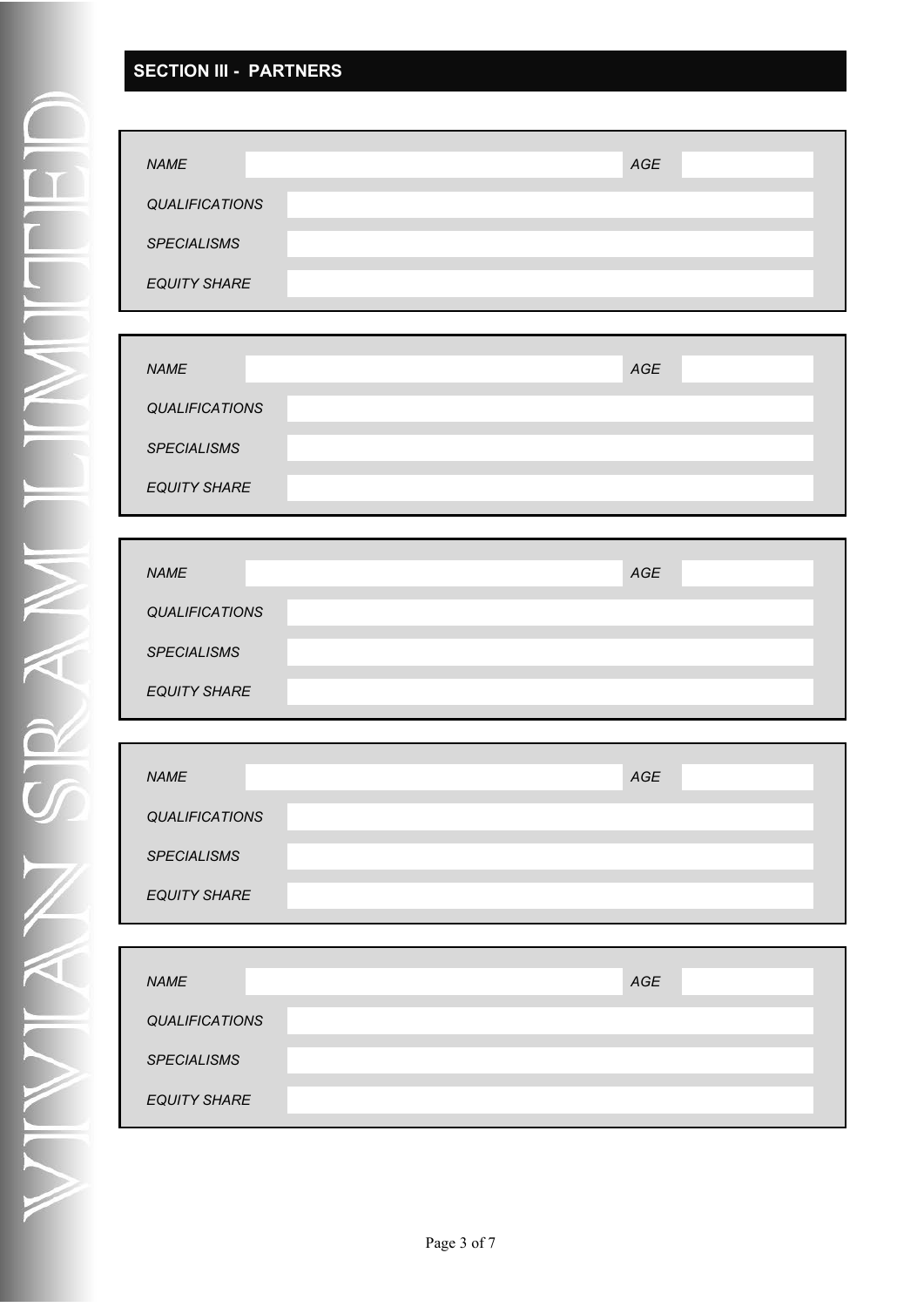## **SECTION III - PARTNERS**

| <b>NAME</b>         |  | AGE |  |
|---------------------|--|-----|--|
|                     |  |     |  |
| QUALIFICATIONS      |  |     |  |
|                     |  |     |  |
| <b>SPECIALISMS</b>  |  |     |  |
|                     |  |     |  |
| <b>EQUITY SHARE</b> |  |     |  |
|                     |  |     |  |

| <b>NAME</b>           | AGE |  |
|-----------------------|-----|--|
| <b>QUALIFICATIONS</b> |     |  |
| <b>SPECIALISMS</b>    |     |  |
| <b>EQUITY SHARE</b>   |     |  |

| <b>NAME</b>           | AGE |  |
|-----------------------|-----|--|
| <b>QUALIFICATIONS</b> |     |  |
| <b>SPECIALISMS</b>    |     |  |
| <b>EQUITY SHARE</b>   |     |  |

| <b>NAME</b>           |  | AGE |  |
|-----------------------|--|-----|--|
| <b>QUALIFICATIONS</b> |  |     |  |
| <b>SPECIALISMS</b>    |  |     |  |
| <b>EQUITY SHARE</b>   |  |     |  |

| <b>NAME</b>           | <b>AGE</b> |
|-----------------------|------------|
| <b>QUALIFICATIONS</b> |            |
| <b>SPECIALISMS</b>    |            |
| <b>EQUITY SHARE</b>   |            |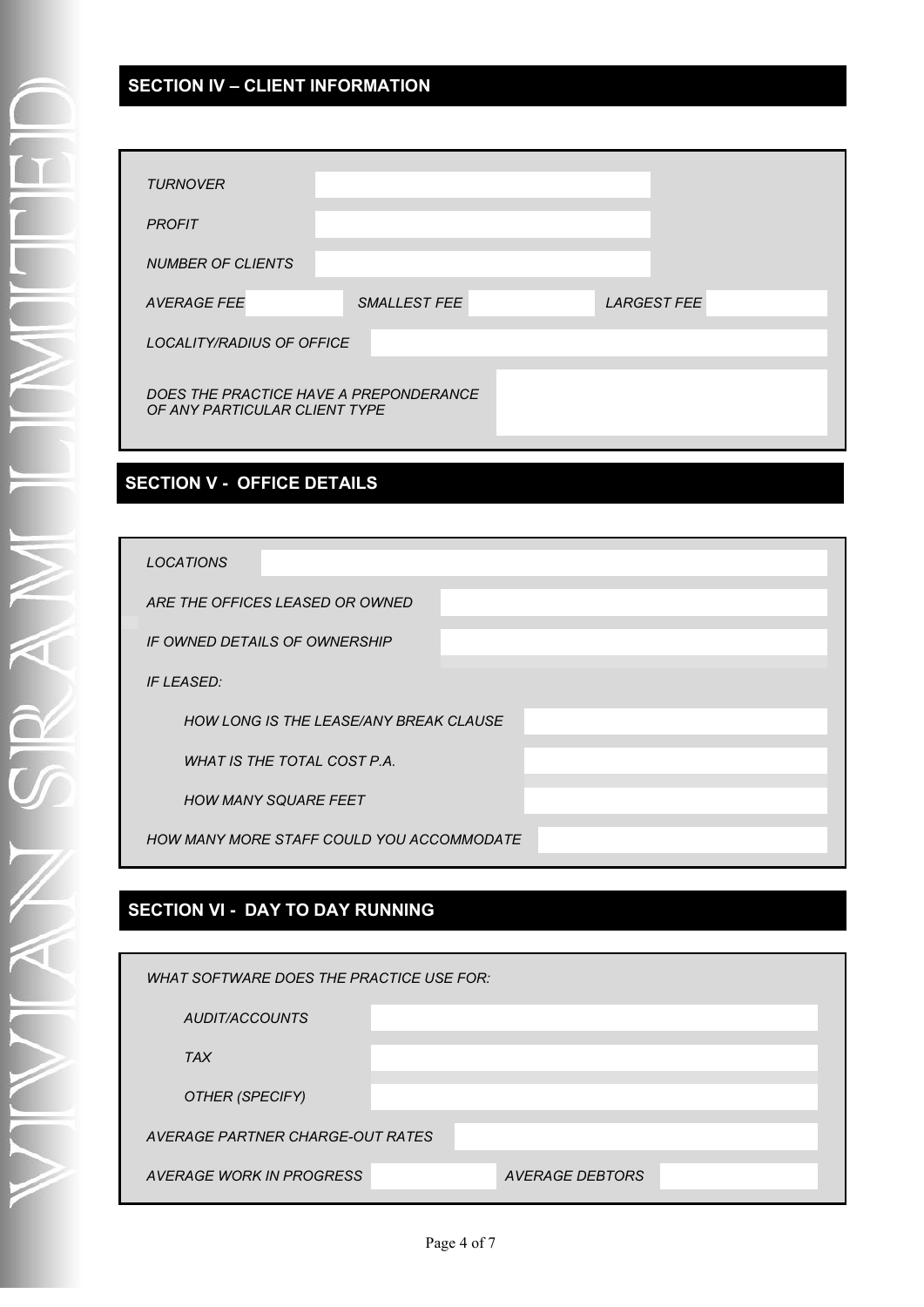## **SECTION IV – CLIENT INFORMATION**

| <b>TURNOVER</b>                                                         |                     |                    |
|-------------------------------------------------------------------------|---------------------|--------------------|
| <b>PROFIT</b>                                                           |                     |                    |
| <b>NUMBER OF CLIENTS</b>                                                |                     |                    |
| <b>AVERAGE FEE</b>                                                      | <b>SMALLEST FEE</b> | <b>LARGEST FEE</b> |
| LOCALITY/RADIUS OF OFFICE                                               |                     |                    |
| DOES THE PRACTICE HAVE A PREPONDERANCE<br>OF ANY PARTICULAR CLIENT TYPE |                     |                    |

### **SECTION V - OFFICE DETAILS**

## **SECTION VI - DAY TO DAY RUNNING**

| WHAT SOFTWARE DOES THE PRACTICE USE FOR: |  |                 |  |  |
|------------------------------------------|--|-----------------|--|--|
| AUDIT/ACCOUNTS                           |  |                 |  |  |
| <b>TAX</b>                               |  |                 |  |  |
| OTHER (SPECIFY)                          |  |                 |  |  |
| AVERAGE PARTNER CHARGE-OUT RATES         |  |                 |  |  |
| AVERAGE WORK IN PROGRESS                 |  | AVERAGE DEBTORS |  |  |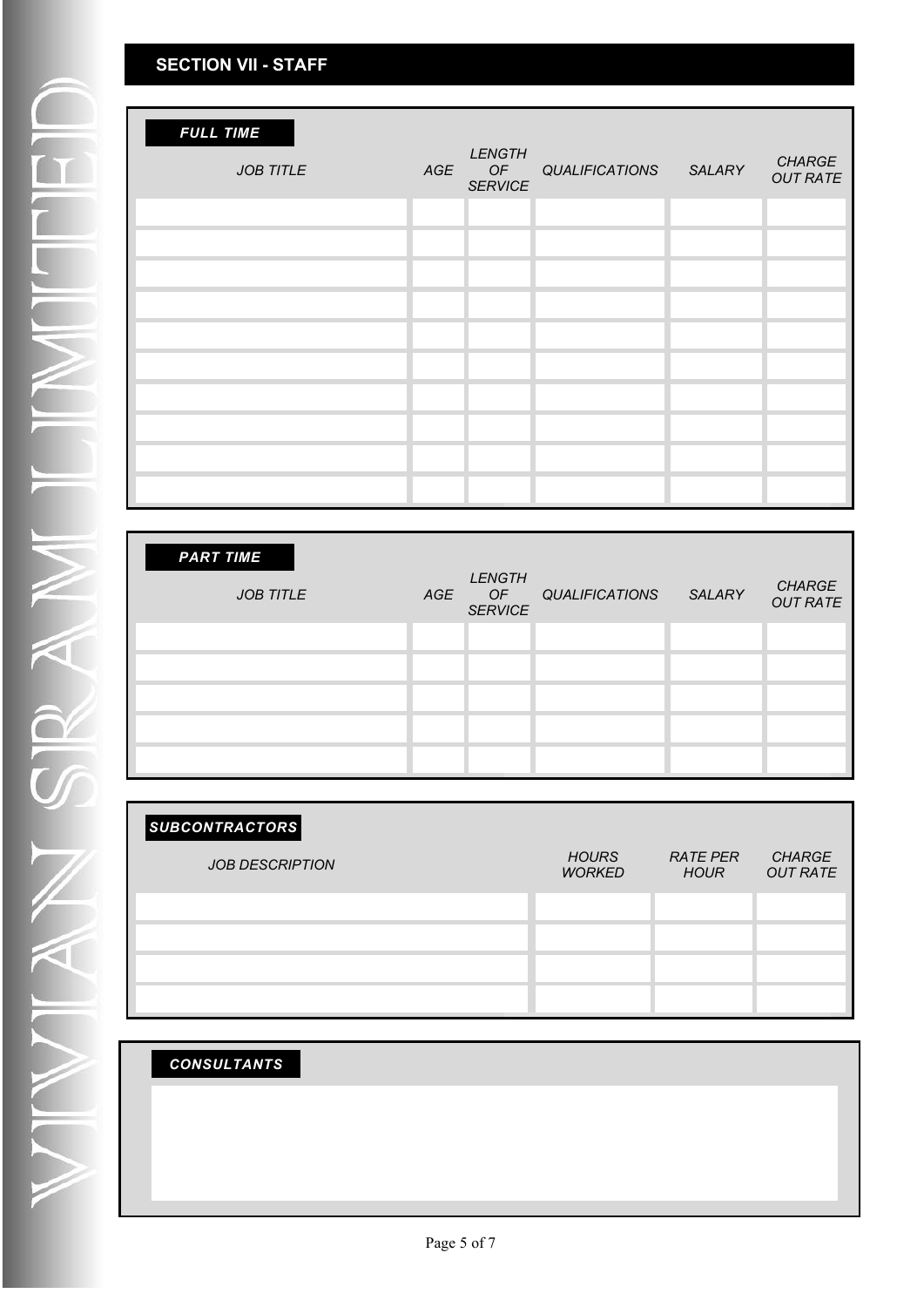| <b>FULL TIME</b><br><b>JOB TITLE</b> | <b>LENGTH</b><br>AGE OF<br><b>SERVICE</b> | QUALIFICATIONS SALARY | <b>CHARGE</b><br><b>OUT RATE</b> |
|--------------------------------------|-------------------------------------------|-----------------------|----------------------------------|
|                                      |                                           |                       |                                  |
|                                      |                                           |                       |                                  |
|                                      |                                           |                       |                                  |
|                                      |                                           |                       |                                  |
|                                      |                                           |                       |                                  |
|                                      |                                           |                       |                                  |
|                                      |                                           |                       |                                  |
|                                      |                                           |                       |                                  |
|                                      |                                           |                       |                                  |

| <b>PART TIME</b><br><b>JOB TITLE</b> | <b>LENGTH</b><br>AGE OF<br><b>SERVICE</b> | QUALIFICATIONS | SALARY | <b>CHARGE</b><br><b>OUT RATE</b> |
|--------------------------------------|-------------------------------------------|----------------|--------|----------------------------------|
|                                      |                                           |                |        |                                  |
|                                      |                                           |                |        |                                  |
|                                      |                                           |                |        |                                  |
|                                      |                                           |                |        |                                  |
|                                      |                                           |                |        |                                  |

| <b>SUBCONTRACTORS</b>  |                               |                                |                                  |
|------------------------|-------------------------------|--------------------------------|----------------------------------|
| <b>JOB DESCRIPTION</b> | <b>HOURS</b><br><b>WORKED</b> | <b>RATE PER</b><br><b>HOUR</b> | <b>CHARGE</b><br><b>OUT RATE</b> |
|                        |                               |                                |                                  |
|                        |                               |                                |                                  |
|                        |                               |                                |                                  |
|                        |                               |                                |                                  |

| <b>CONSULTANTS</b> |  |  |  |
|--------------------|--|--|--|
|                    |  |  |  |
|                    |  |  |  |
|                    |  |  |  |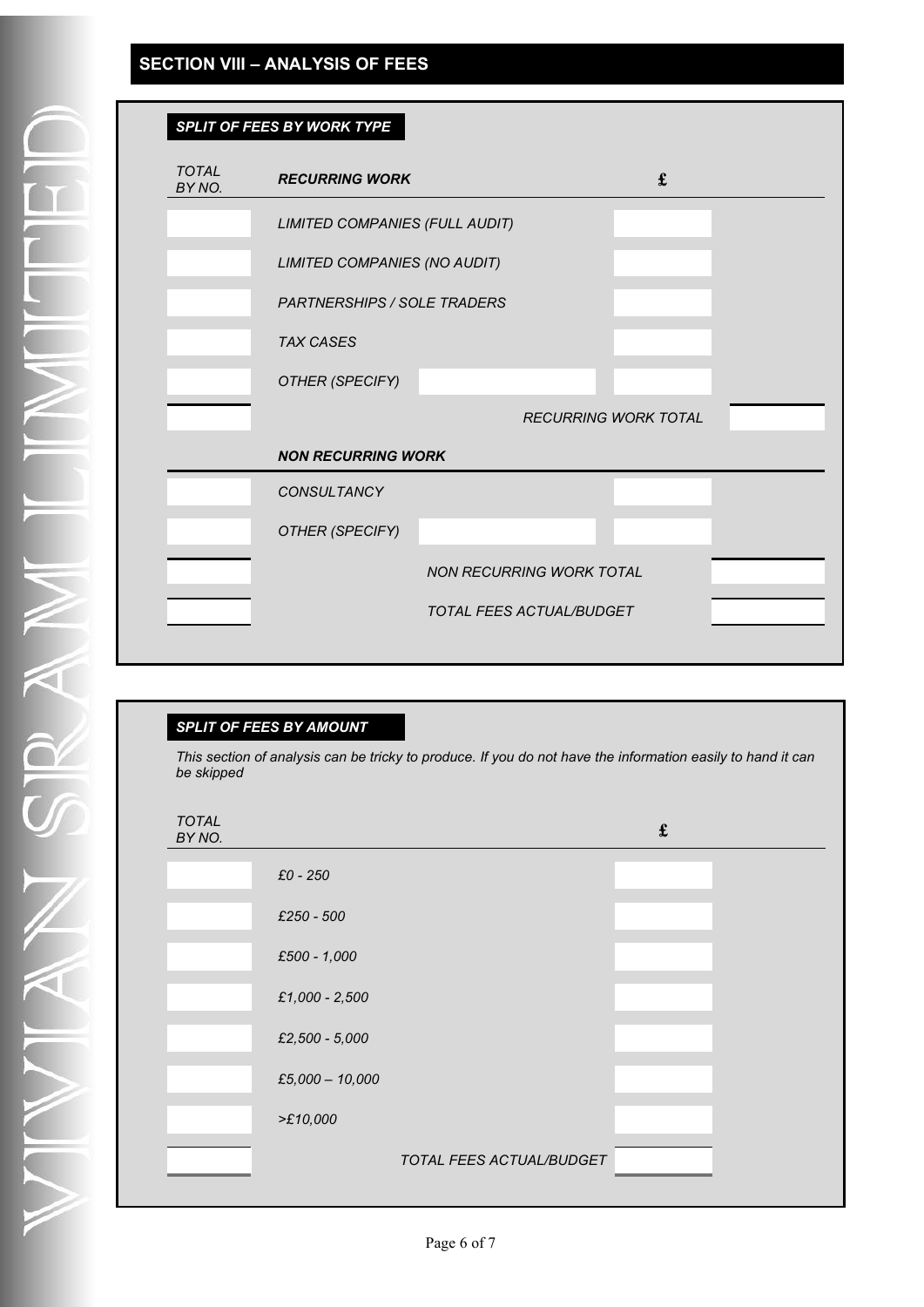### **SECTION VIII – ANALYSIS OF FEES**

| SPLIT OF FEES BY WORK TYPE |
|----------------------------|
|                            |
|                            |

| <b>TOTAL</b><br>BY NO. | <b>RECURRING WORK</b>              |                                 | £                           |  |
|------------------------|------------------------------------|---------------------------------|-----------------------------|--|
|                        | LIMITED COMPANIES (FULL AUDIT)     |                                 |                             |  |
|                        | LIMITED COMPANIES (NO AUDIT)       |                                 |                             |  |
|                        | <b>PARTNERSHIPS / SOLE TRADERS</b> |                                 |                             |  |
|                        | <b>TAX CASES</b>                   |                                 |                             |  |
|                        | OTHER (SPECIFY)                    |                                 |                             |  |
|                        |                                    |                                 | <b>RECURRING WORK TOTAL</b> |  |
|                        | <b>NON RECURRING WORK</b>          |                                 |                             |  |
|                        | <b>CONSULTANCY</b>                 |                                 |                             |  |
|                        |                                    |                                 |                             |  |
|                        | OTHER (SPECIFY)                    |                                 |                             |  |
|                        |                                    | <b>NON RECURRING WORK TOTAL</b> |                             |  |
|                        |                                    | TOTAL FEES ACTUAL/BUDGET        |                             |  |

#### *SPLIT OF FEES BY AMOUNT*

*This section of analysis can be tricky to produce. If you do not have the information easily to hand it can be skipped*

| <b>TOTAL</b><br>BY NO. |                   |                          | $\pmb{\mathfrak{L}}$ |  |
|------------------------|-------------------|--------------------------|----------------------|--|
|                        | $£0 - 250$        |                          |                      |  |
|                        | £250 - 500        |                          |                      |  |
|                        | £500 - 1,000      |                          |                      |  |
|                        | £1,000 - 2,500    |                          |                      |  |
|                        | £2,500 - 5,000    |                          |                      |  |
|                        | $£5,000 - 10,000$ |                          |                      |  |
|                        | >E10,000          |                          |                      |  |
|                        |                   | TOTAL FEES ACTUAL/BUDGET |                      |  |